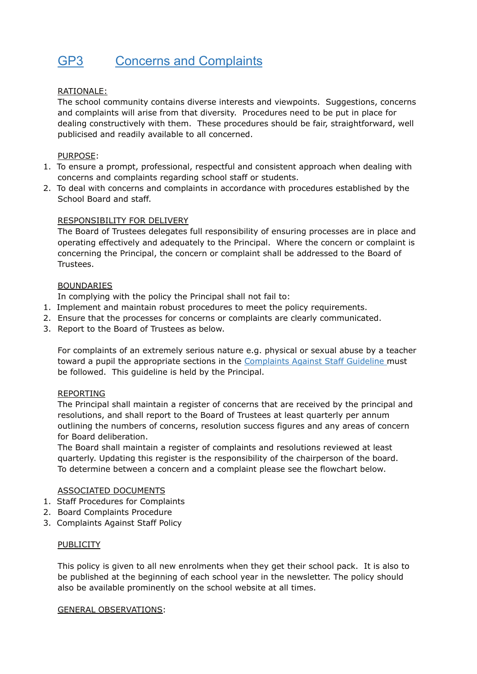# GP3 Concerns and Complaints

# RATIONALE:

The school community contains diverse interests and viewpoints. Suggestions, concerns and complaints will arise from that diversity. Procedures need to be put in place for dealing constructively with them. These procedures should be fair, straightforward, well publicised and readily available to all concerned.

# PURPOSE:

- 1. To ensure a prompt, professional, respectful and consistent approach when dealing with concerns and complaints regarding school staff or students.
- 2. To deal with concerns and complaints in accordance with procedures established by the School Board and staff.

## RESPONSIBILITY FOR DELIVERY

The Board of Trustees delegates full responsibility of ensuring processes are in place and operating effectively and adequately to the Principal. Where the concern or complaint is concerning the Principal, the concern or complaint shall be addressed to the Board of Trustees.

## BOUNDARIES

In complying with the policy the Principal shall not fail to:

- 1. Implement and maintain robust procedures to meet the policy requirements.
- 2. Ensure that the processes for concerns or complaints are clearly communicated.
- 3. Report to the Board of Trustees as below.

For complaints of an extremely serious nature e.g. physical or sexual abuse by a teacher toward a pupil the appropriate sections in the Complaints Against Staff Guideline must be followed. This guideline is held by the Principal.

#### REPORTING

The Principal shall maintain a register of concerns that are received by the principal and resolutions, and shall report to the Board of Trustees at least quarterly per annum outlining the numbers of concerns, resolution success figures and any areas of concern for Board deliberation.

The Board shall maintain a register of complaints and resolutions reviewed at least quarterly. Updating this register is the responsibility of the chairperson of the board. To determine between a concern and a complaint please see the flowchart below.

#### ASSOCIATED DOCUMENTS

- 1. Staff Procedures for Complaints
- 2. Board Complaints Procedure
- 3. Complaints Against Staff Policy

#### **PUBLICITY**

This policy is given to all new enrolments when they get their school pack. It is also to be published at the beginning of each school year in the newsletter. The policy should also be available prominently on the school website at all times.

#### GENERAL OBSERVATIONS: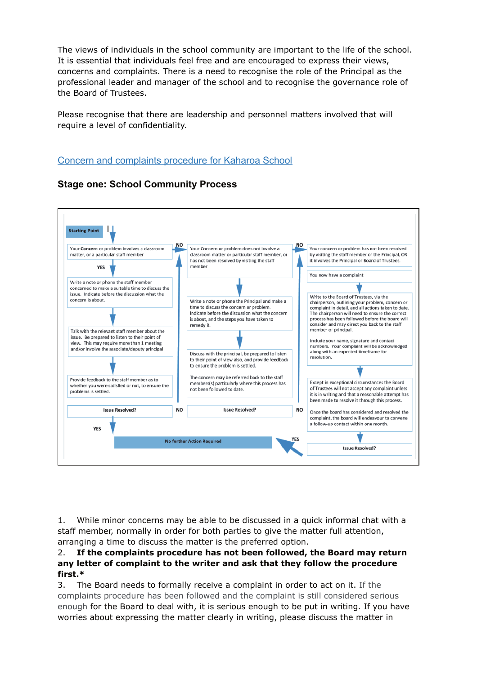The views of individuals in the school community are important to the life of the school. It is essential that individuals feel free and are encouraged to express their views, concerns and complaints. There is a need to recognise the role of the Principal as the professional leader and manager of the school and to recognise the governance role of the Board of Trustees.

Please recognise that there are leadership and personnel matters involved that will require a level of confidentiality.

# Concern and complaints procedure for Kaharoa School



**Stage one: School Community Process**

1. While minor concerns may be able to be discussed in a quick informal chat with a staff member, normally in order for both parties to give the matter full attention, arranging a time to discuss the matter is the preferred option.

## 2. **If the complaints procedure has not been followed, the Board may return any letter of complaint to the writer and ask that they follow the procedure first.\***

3. The Board needs to formally receive a complaint in order to act on it. If the complaints procedure has been followed and the complaint is still considered serious enough for the Board to deal with, it is serious enough to be put in writing. If you have worries about expressing the matter clearly in writing, please discuss the matter in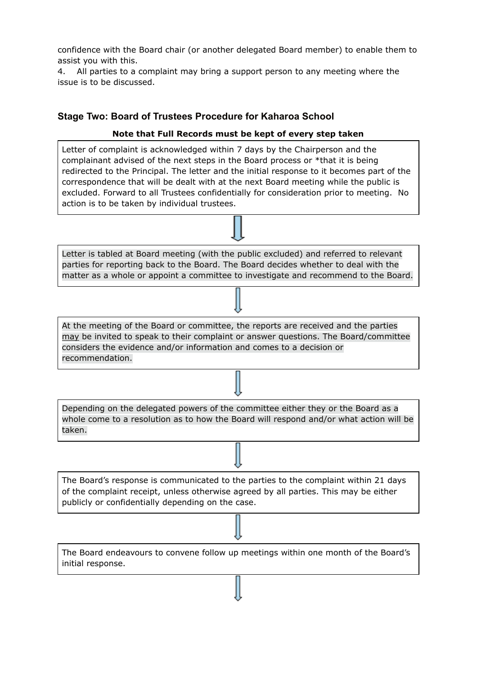confidence with the Board chair (or another delegated Board member) to enable them to assist you with this.

4. All parties to a complaint may bring a support person to any meeting where the issue is to be discussed.

# **Stage Two: Board of Trustees Procedure for Kaharoa School**

# **Note that Full Records must be kept of every step taken**

Letter of complaint is acknowledged within 7 days by the Chairperson and the complainant advised of the next steps in the Board process or \*that it is being redirected to the Principal. The letter and the initial response to it becomes part of the correspondence that will be dealt with at the next Board meeting while the public is excluded. Forward to all Trustees confidentially for consideration prior to meeting. No action is to be taken by individual trustees.

Letter is tabled at Board meeting (with the public excluded) and referred to relevant parties for reporting back to the Board. The Board decides whether to deal with the matter as a whole or appoint a committee to investigate and recommend to the Board.

At the meeting of the Board or committee, the reports are received and the parties may be invited to speak to their complaint or answer questions. The Board/committee considers the evidence and/or information and comes to a decision or recommendation.

Depending on the delegated powers of the committee either they or the Board as a whole come to a resolution as to how the Board will respond and/or what action will be taken.

The Board's response is communicated to the parties to the complaint within 21 days of the complaint receipt, unless otherwise agreed by all parties. This may be either publicly or confidentially depending on the case.

The Board endeavours to convene follow up meetings within one month of the Board's initial response.